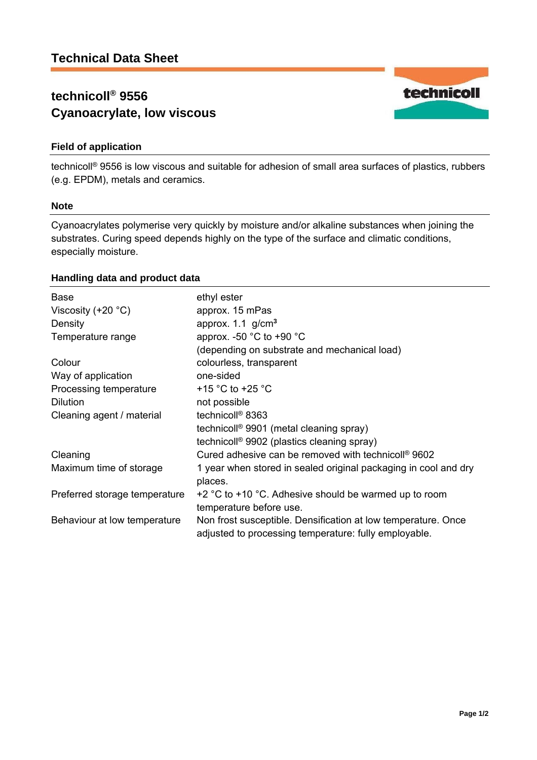# **technicoll® 9556 Cyanoacrylate, low viscous**

## **Field of application**

technicoll® 9556 is low viscous and suitable for adhesion of small area surfaces of plastics, rubbers (e.g. EPDM), metals and ceramics.

#### **Note**

Cyanoacrylates polymerise very quickly by moisture and/or alkaline substances when joining the substrates. Curing speed depends highly on the type of the surface and climatic conditions, especially moisture.

### **Handling data and product data**

| <b>Base</b>                   | ethyl ester                                                                                                            |
|-------------------------------|------------------------------------------------------------------------------------------------------------------------|
| Viscosity $(+20 °C)$          | approx. 15 mPas                                                                                                        |
| Density                       | approx. $1.1$ g/cm <sup>3</sup>                                                                                        |
| Temperature range             | approx. -50 $^{\circ}$ C to +90 $^{\circ}$ C                                                                           |
|                               | (depending on substrate and mechanical load)                                                                           |
| Colour                        | colourless, transparent                                                                                                |
| Way of application            | one-sided                                                                                                              |
| Processing temperature        | +15 $\degree$ C to +25 $\degree$ C                                                                                     |
| <b>Dilution</b>               | not possible                                                                                                           |
| Cleaning agent / material     | technicoll <sup>®</sup> 8363                                                                                           |
|                               | technicoll <sup>®</sup> 9901 (metal cleaning spray)                                                                    |
|                               | technicoll <sup>®</sup> 9902 (plastics cleaning spray)                                                                 |
| Cleaning                      | Cured adhesive can be removed with technicoll <sup>®</sup> 9602                                                        |
| Maximum time of storage       | 1 year when stored in sealed original packaging in cool and dry<br>places.                                             |
| Preferred storage temperature | $+2$ °C to $+10$ °C. Adhesive should be warmed up to room<br>temperature before use.                                   |
| Behaviour at low temperature  | Non frost susceptible. Densification at low temperature. Once<br>adjusted to processing temperature: fully employable. |